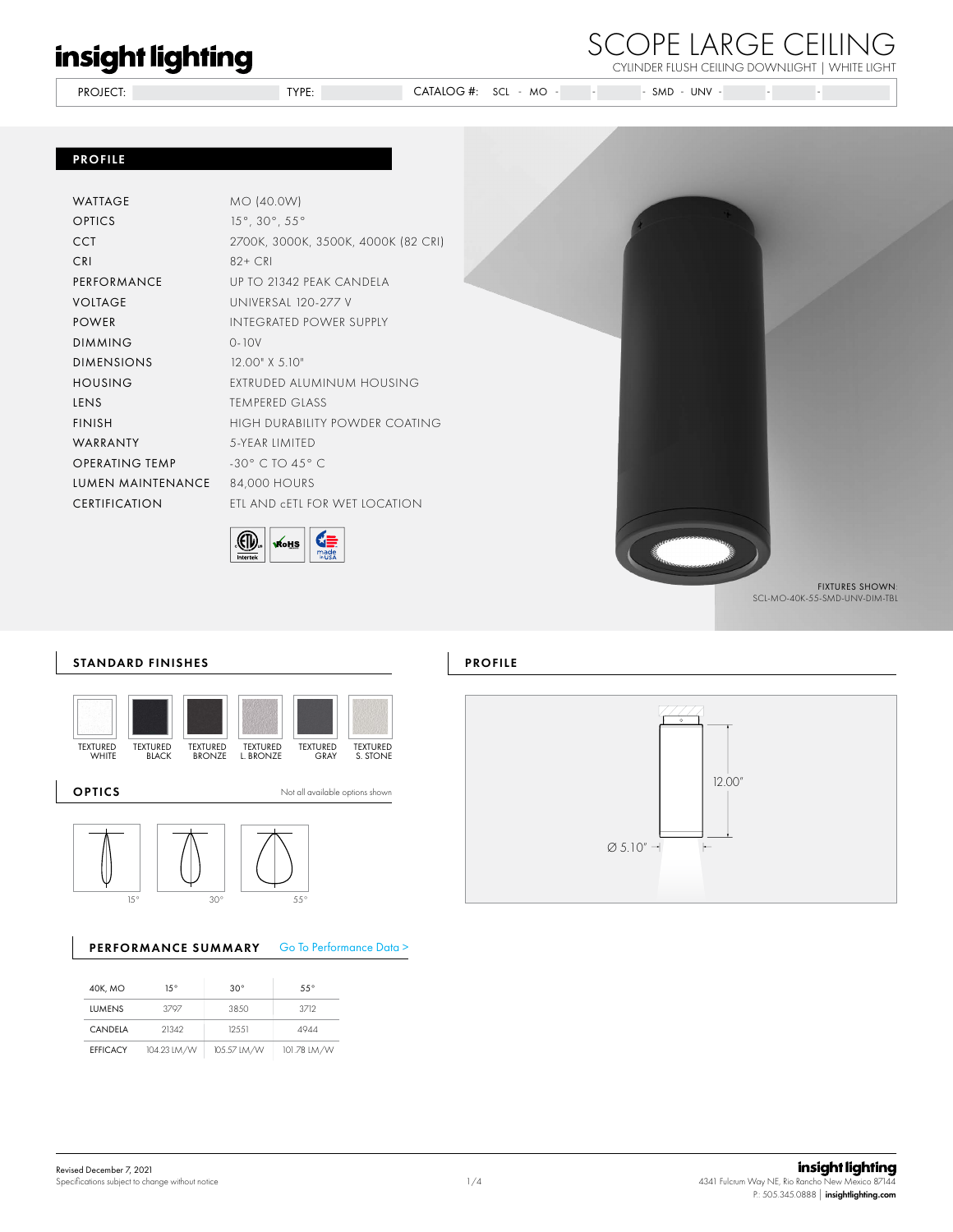PROJECT: TYPE: TYPE: CATALOG #: SCL - MO -CYLINDER FLUSH CEILING DOWNLIGHT | WHITE LIGHT SCL - MO - - - SMD - UNV - - -

### PROFILE

| WATTAGE           | MO (40.0W)                                   |
|-------------------|----------------------------------------------|
| OPTICS            | $15^{\circ}$ , 30 $^{\circ}$ , 55 $^{\circ}$ |
| CCT               | 2700K, 3000K, 3500K, 4000K (82 CRI)          |
| CRI               | $82+CR$                                      |
| PERFORMANCE       | UP TO 21342 PFAK CANDELA                     |
| VOLTAGE           | UNIVERSAL 120-277 V                          |
| POWER             | INTEGRATED POWER SUPPLY                      |
| <b>DIMMING</b>    | $0 - 10V$                                    |
| DIMENSIONS        | $12.00"$ X 5.10"                             |
| <b>HOUSING</b>    | EXTRUDED ALUMINUM HOUSING                    |
| LENS              | TEMPERED GLASS                               |
| <b>FINISH</b>     | HIGH DURABILITY POWDER COATING               |
| WARRANTY          | 5-YFAR IIMITED                               |
| OPERATING TEMP    | $-30^\circ$ C TO 45° C                       |
| LUMEN MAINTENANCE | 84,000 HOURS                                 |
| CERTIFICATION     | FTI AND cFTI FOR WFT IOCATION                |
|                   |                                              |





SCOPE LARGE CEILING

SCL-MO-40K-55-SMD-UNV-DIM-TBL

### STANDARD FINISHES





### PERFORMANCE SUMMARY Go To Performance Data >

| 40K, MO         | 15°         | $30^\circ$  | $55^\circ$  |
|-----------------|-------------|-------------|-------------|
| <b>LUMENS</b>   | 3797        | 38.50       | 3712        |
| CANDELA         | 21342       | 125.51      | 4944        |
| <b>EFFICACY</b> | 104.23 LM/W | 105.57 LM/W | 101.78 LM/W |



PROFILE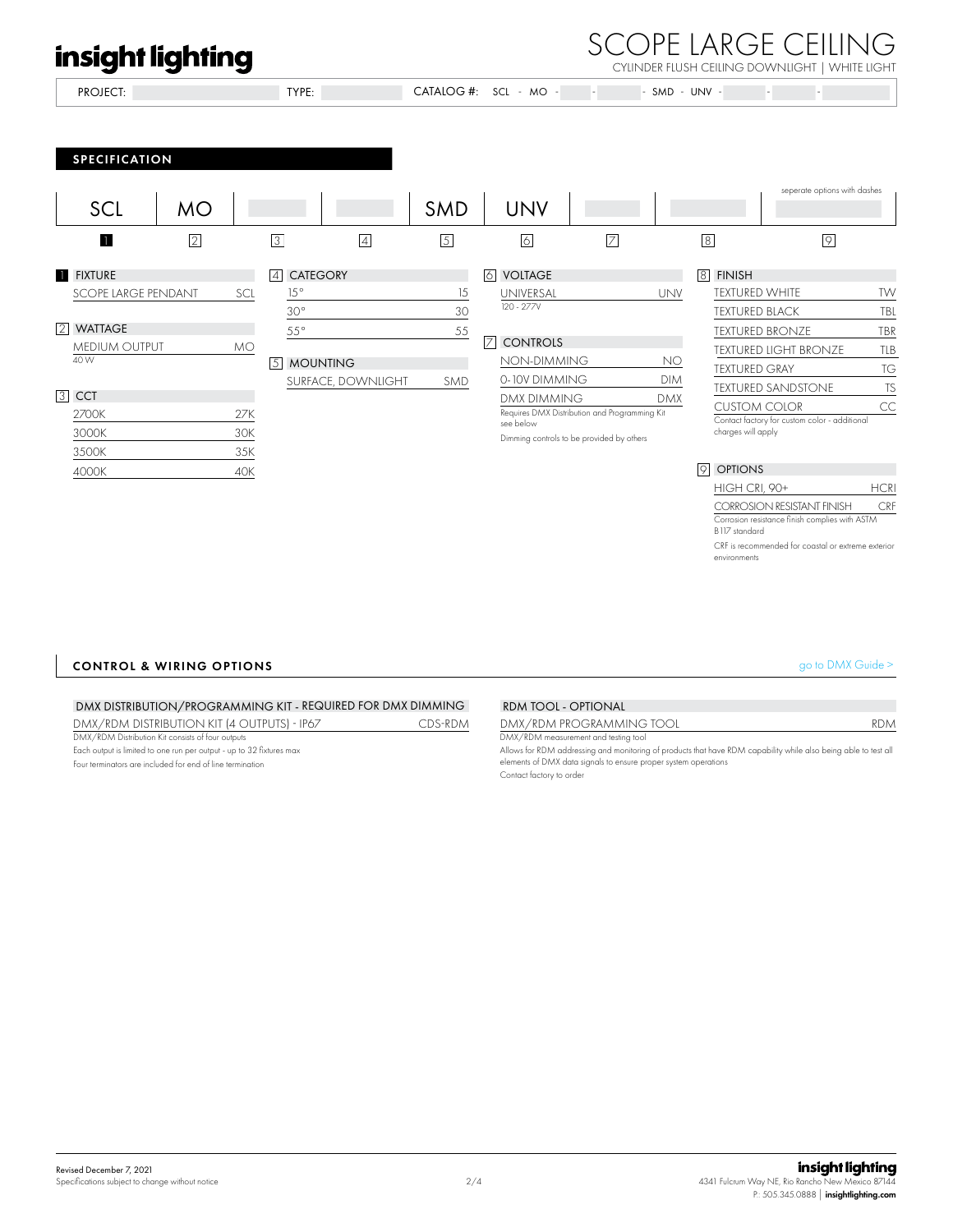### SCOPE LARGE CEILING CYLINDER FLUSH CEILING DOWNLIGHT | WHITE LIGHT

PROJECT: TYPE: CATALOG #:  $SCI - MO - - - - SMD - IINV -$ SPECIFICATION 2 3 4 5 6 7 8 8 9 **SCL 11** seperate options with dashes MO SMD SMD UNV 15° 30° 55° 15 30 55 5 MOUNTING SMD TEXTURED WHITE TW TEXTURED BLACK TBL TEXTURED BRONZE TEXTURED LIGHT BRONZE TEXTURED GRAY TEXTURED SANDSTONE CUSTOM COLOR TBR TLB TG TS  $CC$ Contact factory for custom color - additional charges will apply 9 OPTIONS HIGH CRI, 90+ HCRI SURFACE, DOWNLIGHT 3 CCT 1 FIXTURE SCOPE LARGE PENDANT SCL 2700K 27K 3000K 30K 3500K 35K 4000K 40K 4 CATEGORY 6 VOLTAGE 120 - 277V UNIVERSAL UNV 8 FINISH 7 CONTROLS NON-DIMMING NO 0-10V DIMMING DIM 2 WATTAGE 40 W MEDIUM OUTPUT MO Requires DMX Distribution and Programming Kit see below DMX DIMMING DMX Dimming controls to be provided by others

> Corrosion resistance finish complies with ASTM B117 standard CRF is recommended for coastal or extreme exterior

> CORROSION RESISTANT FINISH CRF

environments

### $\mathsf{CONROL}$  & WIRING OPTIONS  $\mathsf{SMOR}$  and  $\mathsf{SMOR}$  and  $\mathsf{CMOR}$  and  $\mathsf{CMOR}$  and  $\mathsf{CMOR}$  and  $\mathsf{CMOR}$  and  $\mathsf{CMOR}$  and  $\mathsf{CMOR}$  and  $\mathsf{CMOR}$  and  $\mathsf{CMOR}$  and  $\mathsf{CMOR}$  and  $\mathsf{CMOR}$  and  $\mathsf{CMOR}$  an

### DMX/RDM DISTRIBUTION KIT (4 OUTPUTS) - IP67 CDS-RDM DMX/RDM PROGRAMMING TOOL RDM DMX/RDM Distribution Kit consists of four outputs DMX/RDM measurement and testing tool Each output is limited to one run per output - up to 32 fixtures max Allows for RDM addressing and monitoring of products that have RDM capability while also being able to test all elements of DMX data signals to ensure proper system operations Four terminators are included for end of line termination DMX DISTRIBUTION/PROGRAMMING KIT - REQUIRED FOR DMX DIMMING RDM TOOL - OPTIONAL

Contact factory to order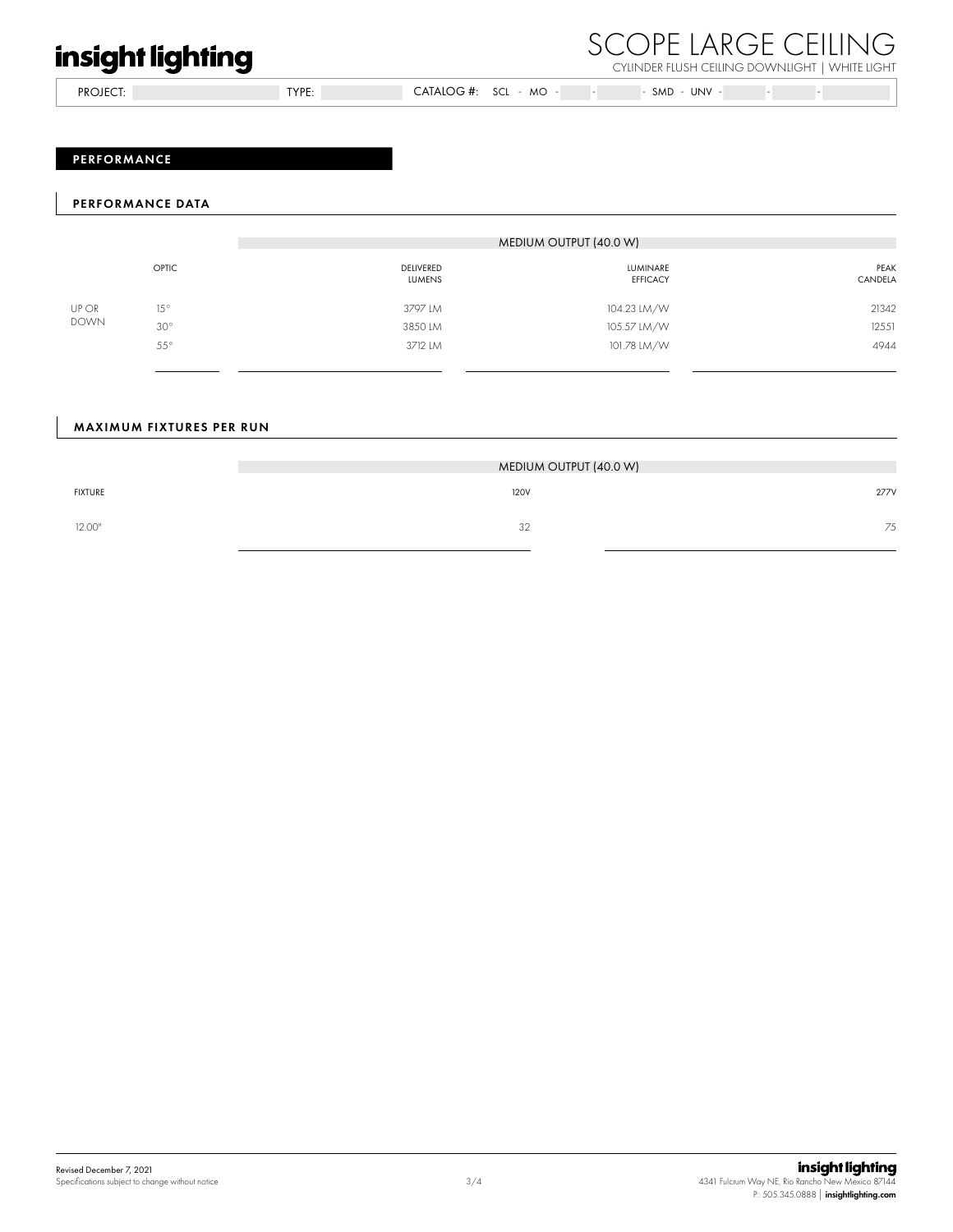PROJECT: TYPE: CATALOG #: SCL - MO -

### SCOPE LARGE CEILING CYLINDER FLUSH CEILING DOWNLIGHT | WHITE LIGHT

 $\overline{\phantom{a}}$  - SMD - UNV -  $\overline{\phantom{a}}$  -  $\overline{\phantom{a}}$ 

### PERFORMANCE

### PERFORMANCE DATA

|                                                                      |         |                                   | MEDIUM OUTPUT (40.0 W)             |                 |
|----------------------------------------------------------------------|---------|-----------------------------------|------------------------------------|-----------------|
|                                                                      | OPTIC   | <b>DELIVERED</b><br><b>LUMENS</b> | <b>LUMINARE</b><br><b>EFFICACY</b> | PEAK<br>CANDELA |
| UP OR<br>$15^{\circ}$<br><b>DOWN</b><br>$30^{\circ}$<br>$55^{\circ}$ |         | 3797 LM                           | 104.23 LM/W                        | 21342           |
|                                                                      |         | 3850 LM                           | 105.57 LM/W                        | 12551           |
|                                                                      | 3712 LM | 101.78 LM/W                       | 4944                               |                 |

### MAXIMUM FIXTURES PER RUN

|                | MEDIUM OUTPUT (40.0 W) |      |  |
|----------------|------------------------|------|--|
| <b>FIXTURE</b> | <b>120V</b>            | 277V |  |
| 12.00"         | 32                     | 75   |  |